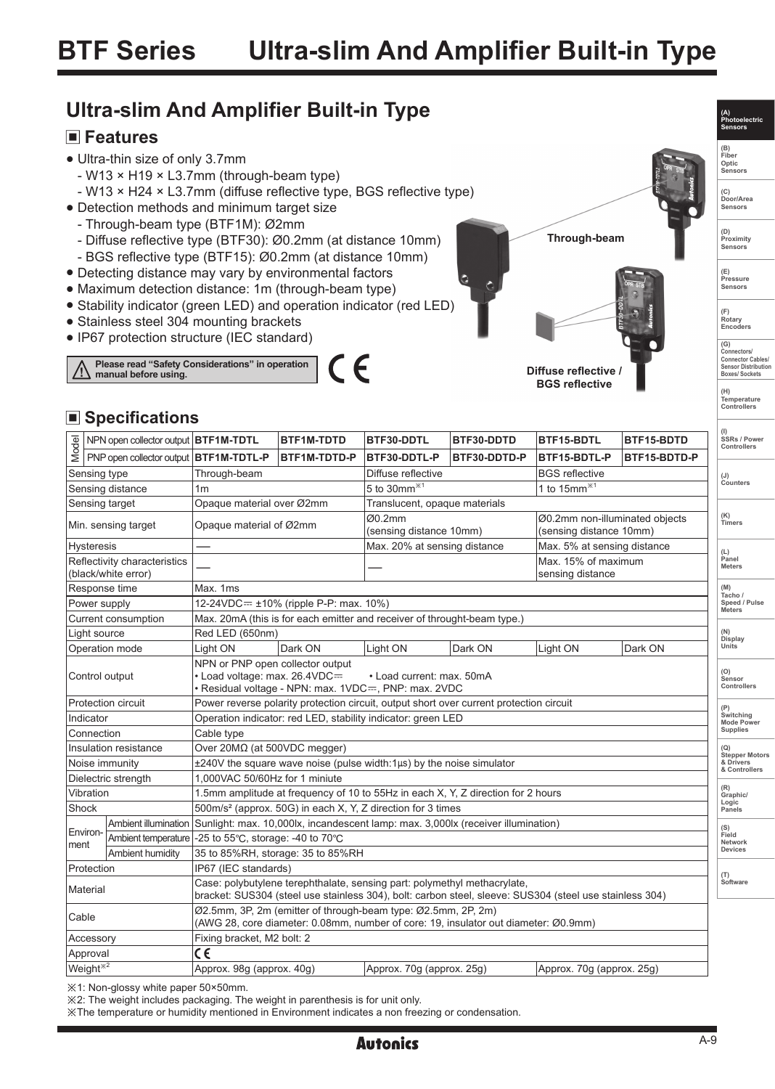# **Ultra-slim And Amplifier Built-in Type**

#### **Features**

- Ultra-thin size of only 3.7mm
	- W13 × H19 × L3.7mm (through-beam type)
	- W13 × H24 × L3.7mm (diffuse reflective type, BGS reflective type)
- Detection methods and minimum target size
	- Through-beam type (BTF1M): Ø2mm
	- Diffuse reflective type (BTF30): Ø0.2mm (at distance 10mm)
	- BGS reflective type (BTF15): Ø0.2mm (at distance 10mm)
- Detecting distance may vary by environmental factors
- Maximum detection distance: 1m (through-beam type)
- Stability indicator (green LED) and operation indicator (red LED)
- Stainless steel 304 mounting brackets
- IP67 protection structure (IEC standard)





**(F) Rotary Encoders** 

**(A) Photoelectric Sensors (B) Fiber Optic Sensors**

**(C) Door/Area Sensors**

**(D) Proximity Sensors** 

**(E) Pressure Sensors** 

**(G) Connectors/ Connector Cables/ Sensor Distribution Boxes/ Sockets**

**(H) Temperature Controllers**

### ■ Specifications

|                                                     | NPN open collector output   BTF1M-TDTL   |                                                                                                                                                                                     | BTF1M-TDTD          | BTF30-DDTL                        | BTF30-DDTD            | BTF15-BDTL                                                | BTF15-BDTD   | SSRs / Power<br>Controllers   |  |
|-----------------------------------------------------|------------------------------------------|-------------------------------------------------------------------------------------------------------------------------------------------------------------------------------------|---------------------|-----------------------------------|-----------------------|-----------------------------------------------------------|--------------|-------------------------------|--|
| Model                                               | PNP open collector output   BTF1M-TDTL-P |                                                                                                                                                                                     | <b>BTF1M-TDTD-P</b> | BTF30-DDTL-P                      | BTF30-DDTD-P          | BTF15-BDTL-P                                              | BTF15-BDTD-P |                               |  |
|                                                     | Sensing type                             | Through-beam                                                                                                                                                                        |                     | Diffuse reflective                | <b>BGS</b> reflective |                                                           |              | $(\mathsf{U})$                |  |
| Sensing distance                                    |                                          | 1 <sub>m</sub>                                                                                                                                                                      |                     | 5 to 30mm $*1$                    |                       | 1 to $15mm^{*1}$                                          |              | Counters                      |  |
| Sensing target                                      |                                          | Opaque material over Ø2mm                                                                                                                                                           |                     | Translucent, opaque materials     |                       |                                                           |              |                               |  |
| Min. sensing target                                 |                                          | Opaque material of Ø2mm                                                                                                                                                             |                     | Ø0.2mm<br>(sensing distance 10mm) |                       | Ø0.2mm non-illuminated objects<br>(sensing distance 10mm) |              | (K)<br>Timers                 |  |
| <b>Hysteresis</b>                                   |                                          |                                                                                                                                                                                     |                     | Max. 20% at sensing distance      |                       | Max. 5% at sensing distance                               |              |                               |  |
| Reflectivity characteristics<br>(black/white error) |                                          |                                                                                                                                                                                     |                     |                                   |                       | Max. 15% of maximum<br>sensing distance                   |              | (L)<br>Panel<br><b>Meters</b> |  |
| Response time                                       |                                          | Max. 1ms                                                                                                                                                                            |                     |                                   |                       |                                                           |              |                               |  |
| Power supply                                        |                                          | 12-24VDC= ±10% (ripple P-P: max. 10%)                                                                                                                                               |                     |                                   |                       |                                                           |              |                               |  |
| Current consumption                                 |                                          | Max. 20mA (this is for each emitter and receiver of throught-beam type.)                                                                                                            |                     |                                   |                       |                                                           |              |                               |  |
| Light source                                        |                                          | Red LED (650nm)                                                                                                                                                                     |                     |                                   |                       |                                                           |              |                               |  |
|                                                     | Operation mode                           | Light ON                                                                                                                                                                            | Dark ON             | Light ON                          | Dark ON               | Light ON                                                  | Dark ON      | Display<br>Units              |  |
| Control output                                      |                                          | NPN or PNP open collector output<br>• Load voltage: max. 26.4VDC=<br>• Load current: max. 50mA<br>Residual voltage - NPN: max. 1VDC=, PNP: max. 2VDC                                |                     |                                   |                       |                                                           |              |                               |  |
|                                                     | Protection circuit                       | Power reverse polarity protection circuit, output short over current protection circuit                                                                                             |                     |                                   |                       |                                                           |              |                               |  |
| Indicator                                           |                                          | Operation indicator: red LED, stability indicator: green LED                                                                                                                        |                     |                                   |                       |                                                           |              |                               |  |
| Connection                                          |                                          | Cable type                                                                                                                                                                          |                     |                                   |                       |                                                           |              |                               |  |
| Insulation resistance                               |                                          | Over 20ΜΩ (at 500VDC megger)                                                                                                                                                        |                     |                                   |                       |                                                           |              |                               |  |
| Noise immunity                                      |                                          | $\pm 240V$ the square wave noise (pulse width:1 $\mu$ s) by the noise simulator                                                                                                     |                     |                                   |                       |                                                           |              |                               |  |
| Dielectric strength                                 |                                          | 1.000VAC 50/60Hz for 1 miniute                                                                                                                                                      |                     |                                   |                       |                                                           |              |                               |  |
| Vibration                                           |                                          | 1.5mm amplitude at frequency of 10 to 55Hz in each X, Y, Z direction for 2 hours                                                                                                    |                     |                                   |                       |                                                           |              |                               |  |
| Shock                                               |                                          | 500m/s <sup>2</sup> (approx. 50G) in each X, Y, Z direction for 3 times                                                                                                             |                     |                                   |                       |                                                           |              |                               |  |
| Environ-<br>ment                                    | Ambient illumination                     | Sunlight: max. 10,000lx, incandescent lamp: max. 3,000lx (receiver illumination)                                                                                                    |                     |                                   |                       |                                                           |              |                               |  |
|                                                     | Ambient temperature                      | $-25$ to 55°C, storage: -40 to 70°C                                                                                                                                                 |                     |                                   |                       |                                                           |              |                               |  |
|                                                     | Ambient humidity                         | 35 to 85%RH, storage: 35 to 85%RH                                                                                                                                                   |                     |                                   |                       |                                                           |              |                               |  |
| Protection                                          |                                          | IP67 (IEC standards)                                                                                                                                                                |                     |                                   |                       |                                                           |              |                               |  |
| Material                                            |                                          | Case: polybutylene terephthalate, sensing part: polymethyl methacrylate,<br>bracket: SUS304 (steel use stainless 304), bolt: carbon steel, sleeve: SUS304 (steel use stainless 304) |                     |                                   |                       |                                                           |              |                               |  |
| Cable                                               |                                          | Ø2.5mm, 3P, 2m (emitter of through-beam type: Ø2.5mm, 2P, 2m)<br>(AWG 28, core diameter: 0.08mm, number of core: 19, insulator out diameter: Ø0.9mm)                                |                     |                                   |                       |                                                           |              |                               |  |
| Accessory                                           |                                          | Fixing bracket, M2 bolt: 2                                                                                                                                                          |                     |                                   |                       |                                                           |              |                               |  |
|                                                     | Approval                                 | C€                                                                                                                                                                                  |                     |                                   |                       |                                                           |              |                               |  |
| Weight <sup>*2</sup>                                |                                          | Approx. 98g (approx. 40g)                                                                                                                                                           |                     | Approx. 70g (approx. 25g)         |                       | Approx. 70g (approx. 25g)                                 |              |                               |  |

※1: Non-glossy white paper 50×50mm.

※2: The weight includes packaging. The weight in parenthesis is for unit only.

※The temperature or humidity mentioned in Environment indicates a non freezing or condensation.

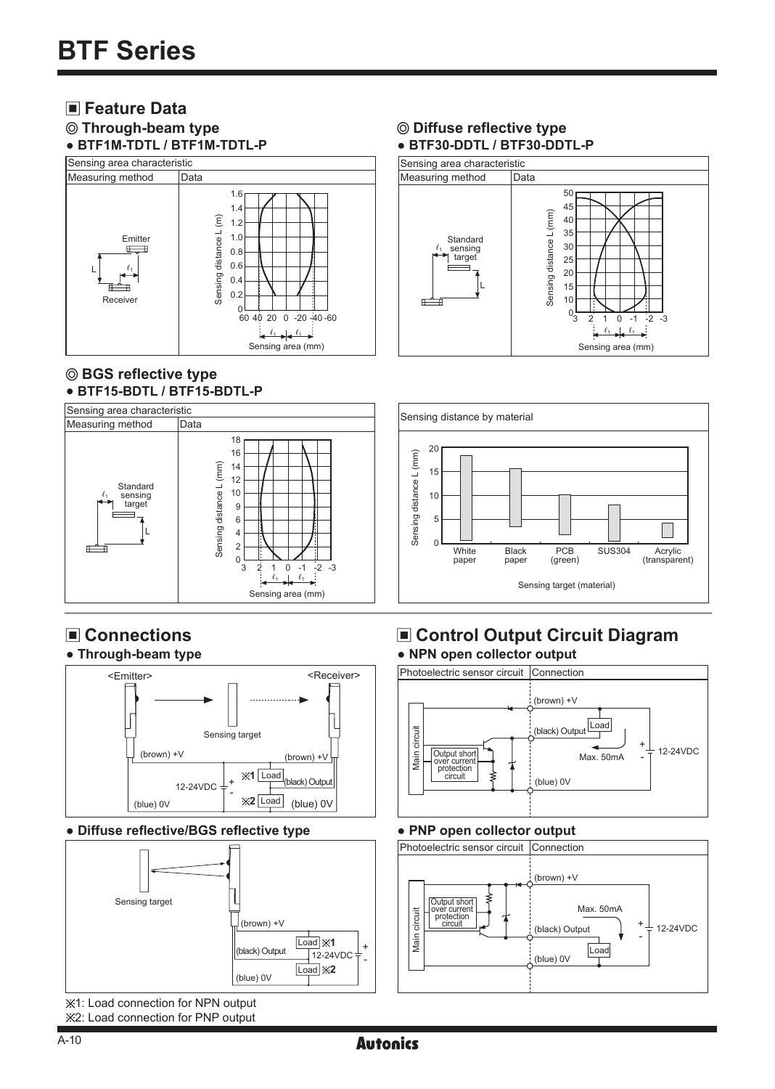# **Feature Data**

#### **Through-beam type ● BTF1M-TDTL / BTF1M-TDTL-P**



#### **BGS reflective type** ● **BTF15-BDTL / BTF15-BDTL-P**



#### **Connections ● Through-beam type**



#### **● Diffuse reflective/BGS reflective type**



 $%1$ : Load connection for NPN output 2: Load connection for PNP output

#### **Diffuse reflective type ● BTF30-DDTL / BTF30-DDTL-P**





#### **Control Output Circuit Diagram ● NPN open collector output**



#### **● PNP open collector output**



**Autonics**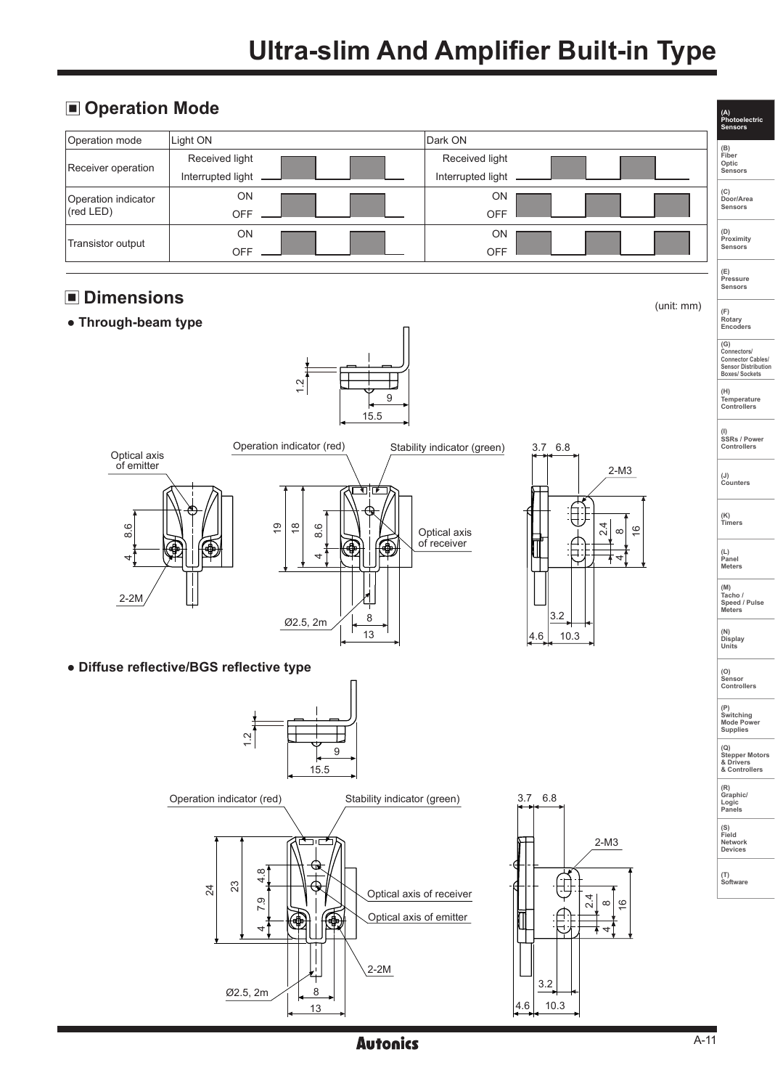# **Ultra-slim And Amplifier Built-in Type**

|                                                                                                  |                                                             | <b>Autonics</b>                                     |                                                     | $A-11$ |                                                            |  |  |  |  |  |  |   |
|--------------------------------------------------------------------------------------------------|-------------------------------------------------------------|-----------------------------------------------------|-----------------------------------------------------|--------|------------------------------------------------------------|--|--|--|--|--|--|---|
|                                                                                                  | Q<br>۹<br>$4\overline{ }$<br>Ł<br>8<br>Ø2.5, 2m<br>13       | $2-2M$                                              | $\overline{\phantom{a}}$<br>ᆉ<br>3.2<br>10.3<br>4.6 |        |                                                            |  |  |  |  |  |  |   |
|                                                                                                  | $\infty$<br>4<br>23<br>24<br>ق<br>$\overline{ }$            | Optical axis of receiver<br>Optical axis of emitter | 4<br>$\frac{6}{5}$<br>$\infty$<br>$\sim$            |        | (T)<br>Software                                            |  |  |  |  |  |  |   |
|                                                                                                  | ייחור<br>₩                                                  |                                                     | $2-M3$                                              |        | (S)<br>Field<br>Network<br>Devices                         |  |  |  |  |  |  |   |
|                                                                                                  | Operation indicator (red)                                   | Stability indicator (green)                         | 3.7 6.8                                             |        | (R)<br>Graphic/<br>Logic<br>Panels                         |  |  |  |  |  |  |   |
|                                                                                                  | Ņ<br>$\div$<br>9<br>r<br>15.5                               |                                                     |                                                     |        | (Q)<br><b>Stepper Motors</b><br>& Drivers<br>& Controllers |  |  |  |  |  |  |   |
|                                                                                                  |                                                             |                                                     |                                                     |        |                                                            |  |  |  |  |  |  |   |
| · Diffuse reflective/BGS reflective type                                                         |                                                             |                                                     |                                                     |        |                                                            |  |  |  |  |  |  |   |
| Ø2.5, 2m<br>13<br>10.3<br>4.6                                                                    |                                                             |                                                     |                                                     |        |                                                            |  |  |  |  |  |  |   |
| $2-2M$                                                                                           |                                                             | 8                                                   | 3.2                                                 |        | (M)<br>Tacho /<br>Speed / Pulse<br>Meters                  |  |  |  |  |  |  |   |
| Θ.<br>Ф<br>٠<br>口<br>4.<br>4                                                                     |                                                             |                                                     |                                                     |        |                                                            |  |  |  |  |  |  |   |
| 8.6                                                                                              | $\overline{9}$<br>$\overset{\circ}{\phantom{\circ}}$<br>8.6 | Optical axis<br>of receiver                         | 4<br>$\frac{6}{5}$<br>$\infty$<br>$\mathbf{N}$      |        | (K)<br>Timers                                              |  |  |  |  |  |  |   |
| of emitter<br>$2-M3$<br>ग!ाम                                                                     |                                                             |                                                     |                                                     |        |                                                            |  |  |  |  |  |  |   |
| 9<br>15.5<br>Operation indicator (red)<br>Stability indicator (green)<br>3.7 6.8<br>Optical axis |                                                             |                                                     |                                                     |        |                                                            |  |  |  |  |  |  |   |
|                                                                                                  |                                                             |                                                     |                                                     |        |                                                            |  |  |  |  |  |  | Ņ |
| • Through-beam type                                                                              |                                                             |                                                     |                                                     |        |                                                            |  |  |  |  |  |  |   |
| <b>Dimensions</b><br>□<br>(unit: mm)<br>(F)<br>Rotary<br>Encoders                                |                                                             |                                                     |                                                     |        |                                                            |  |  |  |  |  |  |   |
| Transistor output                                                                                | OFF                                                         | OFF                                                 |                                                     |        | (D)<br>Proximity<br>Sensors<br>(E)                         |  |  |  |  |  |  |   |
| (red LED)                                                                                        | OFF<br>ON                                                   | OFF<br>ON                                           |                                                     |        | Sensors                                                    |  |  |  |  |  |  |   |
| Receiver operation<br>Operation indicator                                                        | Interrupted light<br>ON                                     | Interrupted light<br>ON                             |                                                     |        | (C)<br>Door/Area                                           |  |  |  |  |  |  |   |
| Operation mode                                                                                   | Received light                                              | Received light                                      |                                                     |        | (B)<br>Fiber<br>Optic<br>Sensors                           |  |  |  |  |  |  |   |
|                                                                                                  | Light ON                                                    | Dark ON                                             |                                                     |        |                                                            |  |  |  |  |  |  |   |